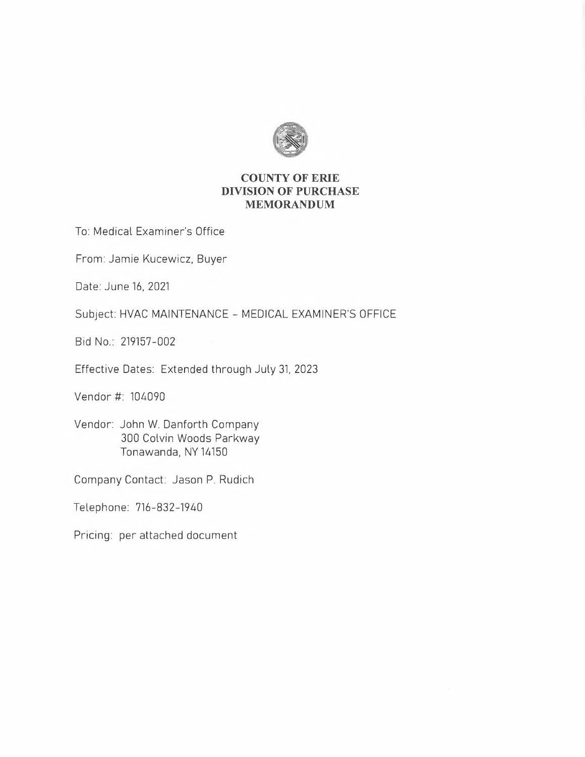

## **COUNTY OF ERIE DIVISION OF PURCHASE MEMORANDUM**

To: Medical Examiner's Office

From: Jamie Kucewicz, Buyer

Date: June 16, 2021

Subject: HVAC MAINTENANCE - MEDICAL EXAMINER'S OFFICE

Bid No.: 219157-002

Effective Dates: Extended through July 31, 2023

Vendor#: 104090

Vendor: John W. Danforth Company 300 Colvin Woods Parkway Tonawanda, NY 14150

Company Contact: Jason P. Rudich

Telephone: 716-832-1940

Pricing: per attached document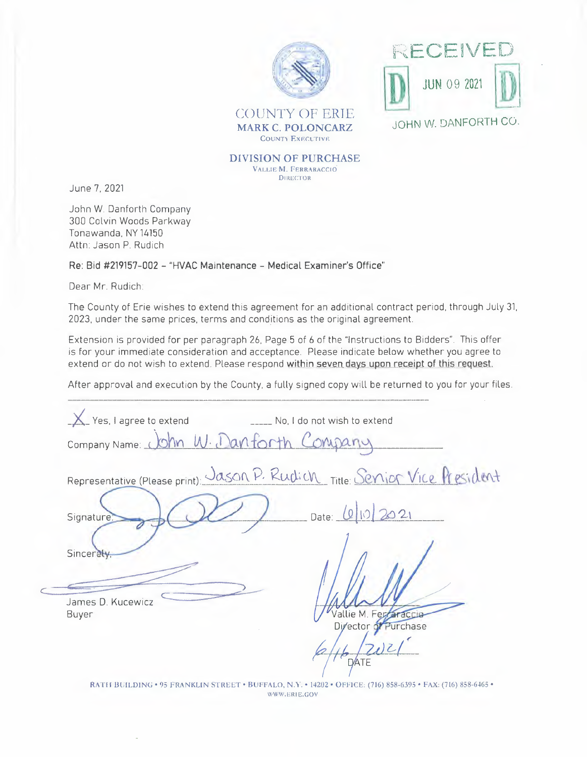



**MARK C. POLONCARZ**  COUNTY EXECUTIVE

**DIVISION OF PURCHASE**  VALLIE **M.** FERRARACCIO DIRECTOR

June 7, 2021

John W. Danforth Company 300 Colvin Woods Parkway Tonawanda, NY 14150 Attn: Jason P. Rudich

**Re: Bid #219157-002 - "HVAC Maintenance - Medical Examiner's Office"** 

Dear Mr. Rudich:

 $\subset$ 

The County of Erie wishes to extend this agreement for an additional contract period, through July 31, 2023, under the same prices, terms and conditions as the original agreement.

Extension is provided for per paragraph 26, Page 5 of 6 of the "Instructions to Bidders". This offer is for your immediate consideration and acceptance. Please indicate below whether you agree to extend or do not wish to extend. Please respond within seven days upon receipt of this request.

After approval and execution by the County, a fully signed copy will be returned to you for your files.

| Yes, I agree to extend                 | No, I do not wish to extend                                                 |
|----------------------------------------|-----------------------------------------------------------------------------|
| Company Name: John W. Danforth Company |                                                                             |
|                                        | Representative (Please print): Jason P. Rudich Title: Senjor Vice President |
| Signature:                             | Date: 0 10 2021                                                             |
| Sincerety                              |                                                                             |
|                                        |                                                                             |
| James D. Kucewicz<br>Buyer             | Vallie M. Ferraraccio                                                       |
|                                        | Director of Purchase                                                        |
|                                        |                                                                             |

RATH BUILDING • 95 FRANKLIN STREET • BUFFALO, N.Y. • 14202 • OFFICE: (716) 858-6395 • FAX: (716) 858-6465 • \X•WW.EIU E.GOV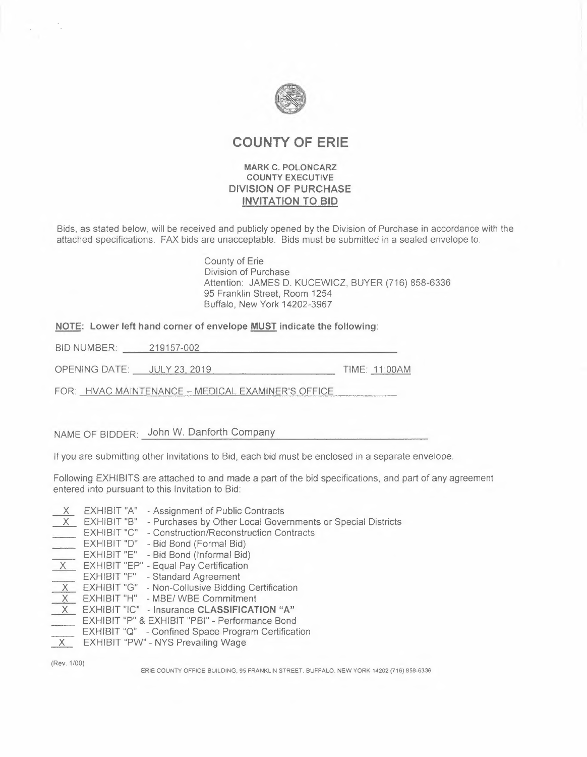

# **COUNTY OF ERIE**

#### **MARK C. POLONCARZ COUNTY EXECUTIVE DIVISION OF PURCHASE INVITATION TO BID**

Bids, as stated below, will be received and publicly opened by the Division of Purchase in accordance with the attached specifications. FAX bids are unacceptable. Bids must be submitted in a sealed envelope to:

> County of Erie Division of Purchase Attention: JAMES D. KUCEWICZ, BUYER (716) 858-6336 95 Franklin Street, Room 1254 Buffalo, New York 14202-3967

**NOTE: Lower left hand corner of envelope MUST indicate the following:** 

BID NUMBER: 219157-002

OPENING DATE: JULY 23, 2019 TIME: 11:00AM

FOR: HVAC MAINTENANCE- MEDICAL EXAMINER'S OFFICE

NAME OF BIDDER: John W. Danforth Company

If you are submitting other Invitations to Bid, each bid must be enclosed in a separate envelope.

Following EXHIBITS are attached to and made a part of the bid specifications, and part of any agreement entered into pursuant to this Invitation to Bid:

- X EXHIBIT "A" Assignment of Public Contracts
- X EXHIBIT "B" Purchases by Other Local Governments or Special Districts
- EXHIBIT "C" Construction/Reconstruction Contracts
- EXHIBIT "D" Bid Bond (Formal Bid)
- EXHIBIT "E" Bid Bond (Informal Bid)<br>
<u>X</u> EXHIBIT "EP" Equal Pay Certification<br>
EXHIBIT "E" Equal Pay Certification
- 
- 
- EXHIBIT "F" Standard Agreement<br>
X\_ EXHIBIT "G" Non-Collusive Bidding Certification
- X EXHIBIT "G" Non-Collusive Bidding Ce<br>
X EXHIBIT "H" MBE/ WBE Commitment
- \_X\_ EXHIBIT "IC" Insurance **CLASSIFICATION "A"**
- EXHIBIT "P" & EXHIBIT "PBI" Performance Bond
- EXHIBIT "Q" Confined Space Program Certification
- \_x\_ EXHIBIT "PW" NYS Prevailing Wage

(Rev. 1/00)

ERIE COUNTY OFFICE BUILDING. 95 FRANKLIN STREET. BUFFALO. NEW YORK 14202 (716) 858-6336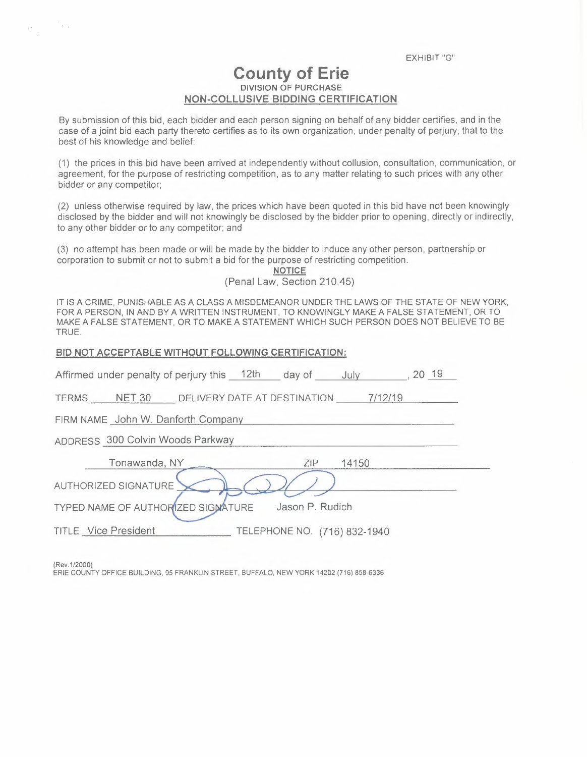EXHIBIT "G"

# **County of Erie DIVISION OF PURCHASE NON-COLLUSIVE BIDDING CERTIFICATION**

By submission of this bid, each bidder and each person signing on behalf of any bidder certifies, and in the case of a joint bid each party thereto certifies as to its own organization, under penalty of perjury, that to the best of his knowledge and belief:

(1) the prices in this bid have been arrived at independently without collusion, consultation, communication, or agreement, for the purpose of restricting competition, as to any matter relating to such prices with any other bidder or any competitor;

(2) unless otherwise required by law, the prices which have been quoted in this bid have not been knowingly disclosed by the bidder and will not knowingly be disclosed by the bidder prior to opening, directly or indirectly, to any other bidder or to any competitor; and

(3) no attempt has been made or will be made by the bidder to induce any other person, partnership or corporation to submit or not to submit a bid for the purpose of restricting competition.

> **NOTICE**  (Penal Law, Section 210.45)

IT IS A CRIME, PUNISHABLE AS A CLASS A MISDEMEANOR UNDER THE LAWS OF THE STATE OF NEW YORK, FOR A PERSON, IN AND BY A WRITTEN INSTRUMENT, TO KNOWINGLY MAKE A FALSE STATEMENT, OR TO MAKE A FALSE STATEMENT, OR TO MAKE A STATEMENT WHICH SUCH PERSON DOES NOT BELIEVE TO BE TRUE.

| BID NOT ACCEPTABLE WITHOUT FOLLOWING CERTIFICATION:              |
|------------------------------------------------------------------|
| Affirmed under penalty of perjury this 12th day of July 19 30 19 |
| TERMS NET 30 DELIVERY DATE AT DESTINATION 7/12/19                |
| FIRM NAME John W. Danforth Company                               |
| ADDRESS 300 Colvin Woods Parkway                                 |
| Tonawanda, NY<br>ZIP.<br>14150                                   |
| AUTHORIZED SIGNATURE                                             |
| Jason P. Rudich<br>TYPED NAME OF AUTHORIZED SIGNATURE            |
| <b>TITLE</b> Vice President<br>TELEPHONE NO. (716) 832-1940      |
|                                                                  |

(Rev.1/2000)

îν,

ERIE COUNTY OFFICE BUILDING, 95 FRANKLIN STREET, BUFFALO, NEW YORK 14202 (716) 858-6336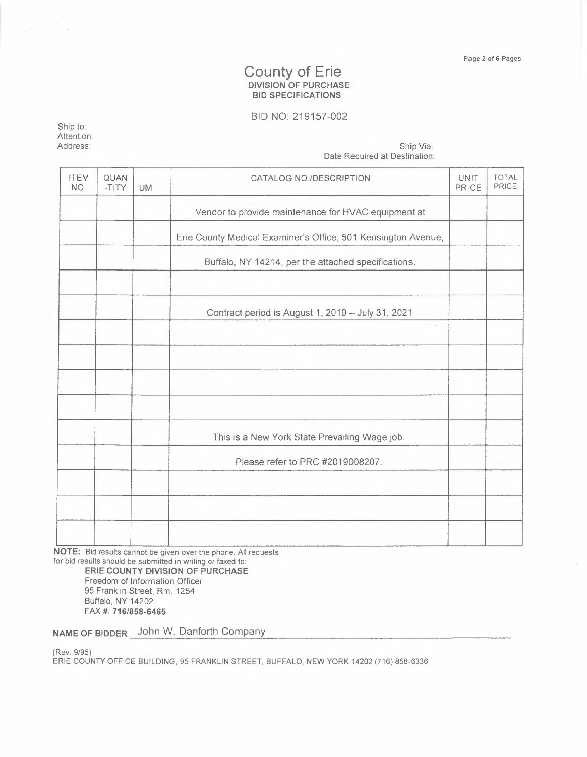#### **County of Erie DIVISION OF PURCHASE BID SPECIFICATIONS**

### BID NO: 219157-002

Ship to: Attention:<br>Address:

 $\mathcal{A}^{\mathcal{A}}$  , and  $\mathcal{A}^{\mathcal{A}}$ 

Address: Ship Via: Date Required at Destination:

| <b>ITEM</b><br>NO. | QUAN<br>-TITY | <b>UM</b> | CATALOG NO./DESCRIPTION                                       | UNIT<br>PRICE | TOTAL<br>PRICE |
|--------------------|---------------|-----------|---------------------------------------------------------------|---------------|----------------|
|                    |               |           | Vendor to provide maintenance for HVAC equipment at           |               |                |
|                    |               |           | Erie County Medical Examiner's Office, 501 Kensington Avenue, |               |                |
|                    |               |           | Buffalo, NY 14214, per the attached specifications.           |               |                |
|                    |               |           | Contract period is August 1, 2019 - July 31, 2021<br>$\cdot$  |               |                |
|                    |               |           |                                                               |               |                |
|                    |               |           |                                                               |               |                |
|                    |               |           | This is a New York State Prevailing Wage job.                 |               |                |
|                    |               |           | Please refer to PRC #2019008207.                              |               |                |
|                    |               |           |                                                               |               |                |
|                    |               |           |                                                               |               |                |
|                    |               |           |                                                               |               |                |

**NOTE:** Bid results cannot be given over the phone. All requests for bid results should be submitted in writing or faxed to:

**ERIE COUNTY DIVISION OF PURCHASE**  Freedom of Information Officer 95 Franklin Street, Rm. 1254 Buffalo, **NY** 14202 FAX#: **716/858-6465** 

**NAME OF BIDDER** John W. Danforth Company

(Rev. 9/95)

ERIE COUNTY OFFICE BUILDING, 95 FRANKLIN STREET, BUFFALO, NEW YORK 14202 (716) 858-6336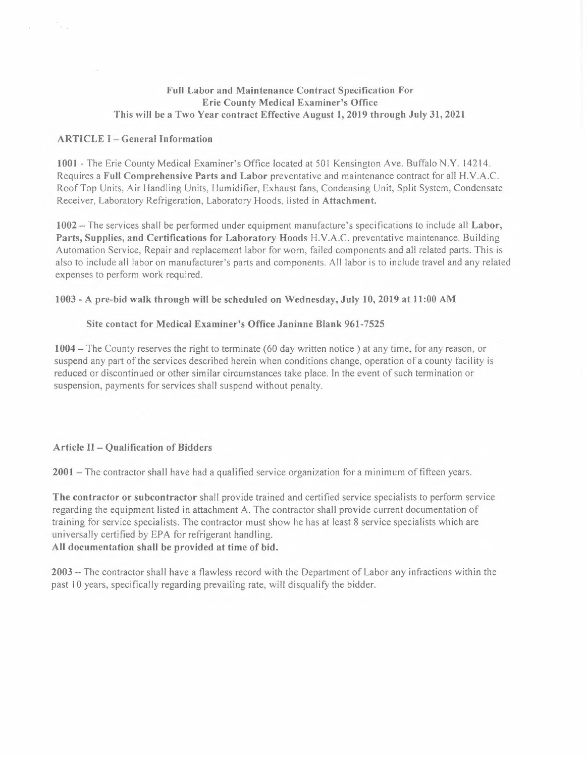#### **Full Labor and Maintenance Contract Specification For Erie County Medical Examiner's Office This will be a Two Year contract Effective August 1, 2019 through July 31, 2021**

#### **ARTICLE** I - **General Information**

 $\mathcal{P}_{\mathcal{A}_{\mathcal{A},\mathcal{A}}}$ 

**1001** -The Erie County Medical Examiner's Office located at 501 Kensington Ave. Buffalo N.Y. 14214. Requires a **Full Comprehensive Parts and Labor** preventative and maintenance contract for all H. V.A.C. Roof Top Units, Air Handling Units, Humidifier, Exhaust fans, Condensing Unit, Split System, Condensate Receiver, Laboratory Refrigeration, Laboratory Hoods, listed in **Attachment.** 

**1002 -** The services shall be performed under equipment manufacture's specifications to include all **Labor, Parts, Supplies, and Certifications for Laboratory Hoods** H.V.A.C. preventative maintenance. Building Automation Service, Repair and replacement labor for worn, failed components and all related parts. This is also to include all labor on manufacturer's parts and components. All labor is to include travel and any related expenses to perform work required.

#### **1003 - A pre-bid walk through will be scheduled on Wednesday, July 10, 2019 at 11:00 AM**

#### **Site contact for Medical Examiner's Office Janinne Blank 961-7525**

**1004 -** The County reserves the right to terminate (60 day written notice) at any time, for any reason, or suspend any part of the services described herein when conditions change, operation of a county facility is reduced or discontinued or other similar circumstances take place. ln the event of such termination or suspension, payments for services shall suspend without penalty.

#### **Article** II - **Qualification of Bidders**

**<sup>2001</sup>**-The contractor shall have had a qualified service organization for a minimum of fifteen years.

**The contractor or subcontractor** shall provide trained and certified service specialists to perform service regarding the equipment listed in attachment A. The contractor shall provide current documentation of training for service specialists. The contractor must show he has at least 8 service specialists which are universally certified by EPA for refrigerant handling. **All documentation shall be provided at time of bid.** 

**2003 -** The contractor shall have a flawless record with the Department of Labor any infractions within the past 10 years, specifically regarding prevailing rate, will disqualify the bidder.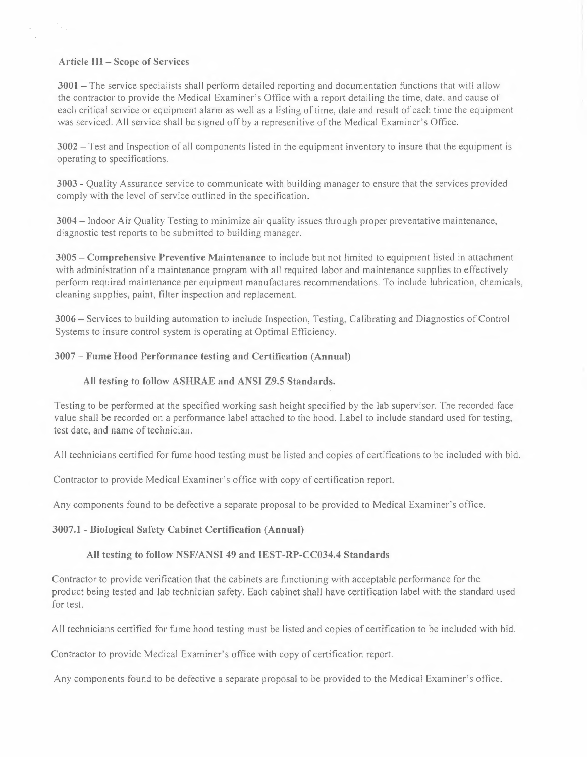#### **Article III - Scope of Services**

 $\mathcal{P}_{\text{in}}$ 

 $\mathcal{L}_{\mathcal{A}}$ 

**3001 -** The service specialists shall perform detailed reporting and documentation functions that will allow the contractor to provide the Medical Examiner's Office with a report detailing the time, date. and cause of each critical service or equipment alarm as well as a listing of time, date and result of each time the equipment was serviéed. All service shall be signed off by a represenitive of the Medical Examiner's Office.

**3002 -** Test and Inspection of all components listed in the equipment inventory to insure that the equipment is operating to specifications.

**3003 -** Quality Assurance service to communicate with building manager to ensure that the services provided comply with the level of service outlined in the specification.

**3004 -** Indoor Air Quality Testing to minimize air quality issues through proper preventative maintenance, diagnostic test reports to be submitted to building manager.

**3005 - Comprehensive Preventive Maintenance** to include but not limited to equipment listed in attachment with administration of a maintenance program with all required labor and maintenance supplies to effectively perform required maintenance per equipment manufactures recommendations. To include lubrication, chemicals, cleaning supplies, paint, filter inspection and replacement.

**3006 -** Services to building automation to include Inspection, Testing, Calibrating and Diagnostics of Control Systems to insure control system is operating at Optimal Efficiency.

#### **3007 - Fume Hood Performance testing and Certification (Annual)**

#### **All testing to follow ASHRAE and ANSI Z9.5 Standards.**

Testing to be performed at the specified working sash height specified by the lab supervisor. The recorded face value shall be recorded on a performance label attached to the hood. Label to include standard used for testing, test date, and name of technician.

All technicians certified for fume hood testing must be listed and copies of certifications to be included with bid.

Contractor to provide Medical Examiner's office with copy of certification report.

Any components found to be defective a separate proposal to be provided to Medical Examiner's office.

#### **3007.1 - Biological Safety Cabinet Certification (Annual)**

#### **All testing to follow NSF/ANSI 49 and IEST-RP-CC034.4 Standards**

Contractor to provide verification that the cabinets are functioning with acceptable performance for the product being tested and lab technician safety. Each cabinet shall have certification label with the standard used for test.

All technicians certified for fume hood testing must be listed and copies of certification to be included with bid.

Contractor to provide Medical Examiner's office with copy of certification report.

Any components found to be defective a separate proposal to be provided to the Medical Examiner's office.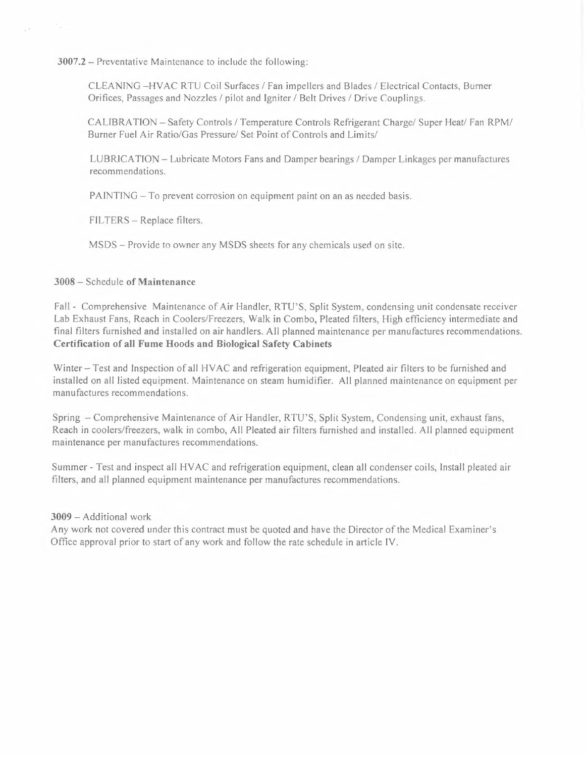**3007.2 -** Preventative Maintenance to include the following:

CLEANING -HVAC RTU Coil Surfaces/ Fan impellers and Blades/ Electrical Contacts, Burner Orifices, Passages and Nozzles/ pilot and Igniter/ Belt Drives/ Drive Couplings.

CALIBRATION - Safety Controls/ Temperature Controls Refrigerant Charge/ Super Heat/ Fan RPM/ Burner Fuel Air Ratio/Gas Pressure/ Set Point of Controls and Limits/

LUBRICATION - Lubricate Motors Fans and Damper bearings/ Damper Linkages per manufactures recommendations.

PAINTING – To prevent corrosion on equipment paint on an as needed basis.

FILTERS - Replace filters.

MSDS - Provide to owner any MSDS sheets for any chemicals used on site.

#### **3008 -** Schedule **of Maintenance**

 $\frac{1}{2} \frac{1}{\sqrt{2}}$ 

 $\sim$ 

Fall - Comprehensive Maintenance of Air Handler, RTU'S, Split System, condensing unit condensate receiver Lab Exhaust Fans, Reach in Coolers/Freezers, Walk in Combo, Pleated filters, High efficiency intermediate and final filters furnished and installed on air handlers. All planned maintenance per manufactures recommendations. **Certification of all Fume Hoods and Biological Safety Cabinets** 

Winter - Test and Inspection of all HVAC and refrigeration equipment, Pleated air filters to be furnished and installed on all listed equipment. Maintenance on steam humidifier. All planned maintenance on equipment per manufactures recommendations.

Spring - Comprehensive Maintenance of Air Handler, RTU'S, Split System, Condensing unit, exhaust fans, Reach in coolers/freezers, walk in combo, All Pleated air filters furnished and installed. All planned equipment maintenance per manufactures recommendations.

Summer - Test and inspect all HVAC and refrigeration equipment, clean all condenser coils, Install pleated air filters, and all planned equipment maintenance per manufactures recommendations.

#### **3009 -** Additional work

Any work not covered under this contract must be quoted and have the Director of the Medical Examiner's Office approval prior to start of any work and follow the rate schedule in article JV.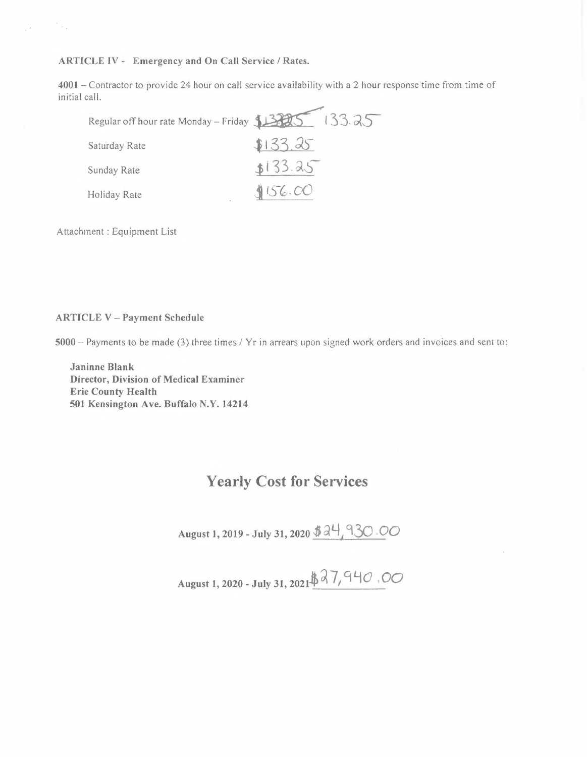**ARTICLE IV - Emergency and On Call Service/ Rates.** 

**4001 -** Contractor to provide 24 hour on call service availability with a 2 hour response time from time of initial call.

| CLE IV - Emergency and On Call Service / Rates.                                         |         |
|-----------------------------------------------------------------------------------------|---------|
| - Contractor to provide 24 hour on call service availability with a 2 hour res<br>call. |         |
| Regular off hour rate Monday - Friday 1335 133.25                                       |         |
| Saturday Rate                                                                           | 133.25  |
| Sunday Rate                                                                             | 133.25  |
| Holiday Rate                                                                            | 1156.00 |
|                                                                                         |         |

Attachment : Equipment List

#### **ARTICLE V - Payment Schedule**

**5000 -** Payments to be made (3) three times/ Yr in arrears upon signed work orders and invoices and sent to:

**Janinne Blank Director, Division of Medical Examiner Erie County Health 501 Kensington Ave. Buffalo N.Y. 14214** 

# **Yearly Cost for Services**

**August** I, **2019 - July 31, 2020** *\$* **~l}** *J* **93()** *00* 

August 1, 2020 - July 31, 2021  $\cancel{37}$ , 940  $\cdot$ 00